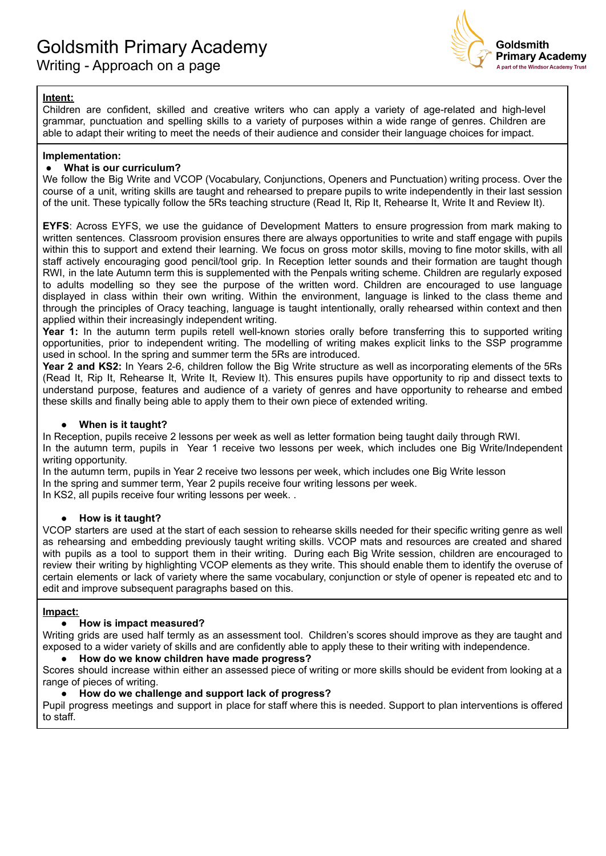

## **Intent:**

Children are confident, skilled and creative writers who can apply a variety of age-related and high-level grammar, punctuation and spelling skills to a variety of purposes within a wide range of genres. Children are able to adapt their writing to meet the needs of their audience and consider their language choices for impact.

### **Implementation:**

### **● What is our curriculum?**

We follow the Big Write and VCOP (Vocabulary, Conjunctions, Openers and Punctuation) writing process. Over the course of a unit, writing skills are taught and rehearsed to prepare pupils to write independently in their last session of the unit. These typically follow the 5Rs teaching structure (Read It, Rip It, Rehearse It, Write It and Review It).

**EYFS**: Across EYFS, we use the guidance of Development Matters to ensure progression from mark making to written sentences. Classroom provision ensures there are always opportunities to write and staff engage with pupils within this to support and extend their learning. We focus on gross motor skills, moving to fine motor skills, with all staff actively encouraging good pencil/tool grip. In Reception letter sounds and their formation are taught though RWI, in the late Autumn term this is supplemented with the Penpals writing scheme. Children are regularly exposed to adults modelling so they see the purpose of the written word. Children are encouraged to use language displayed in class within their own writing. Within the environment, language is linked to the class theme and through the principles of Oracy teaching, language is taught intentionally, orally rehearsed within context and then applied within their increasingly independent writing.

**Year 1:** In the autumn term pupils retell well-known stories orally before transferring this to supported writing opportunities, prior to independent writing. The modelling of writing makes explicit links to the SSP programme used in school. In the spring and summer term the 5Rs are introduced.

**Year 2 and KS2:** In Years 2-6, children follow the Big Write structure as well as incorporating elements of the 5Rs (Read It, Rip It, Rehearse It, Write It, Review It). This ensures pupils have opportunity to rip and dissect texts to understand purpose, features and audience of a variety of genres and have opportunity to rehearse and embed these skills and finally being able to apply them to their own piece of extended writing.

#### ● **When is it taught?**

In Reception, pupils receive 2 lessons per week as well as letter formation being taught daily through RWI. In the autumn term, pupils in Year 1 receive two lessons per week, which includes one Big Write/Independent writing opportunity.

In the autumn term, pupils in Year 2 receive two lessons per week, which includes one Big Write lesson

In the spring and summer term, Year 2 pupils receive four writing lessons per week.

In KS2, all pupils receive four writing lessons per week...

## **● How is it taught?**

VCOP starters are used at the start of each session to rehearse skills needed for their specific writing genre as well as rehearsing and embedding previously taught writing skills. VCOP mats and resources are created and shared with pupils as a tool to support them in their writing. During each Big Write session, children are encouraged to review their writing by highlighting VCOP elements as they write. This should enable them to identify the overuse of certain elements or lack of variety where the same vocabulary, conjunction or style of opener is repeated etc and to edit and improve subsequent paragraphs based on this.

#### **Impact:**

## **● How is impact measured?**

Writing grids are used half termly as an assessment tool. Children's scores should improve as they are taught and exposed to a wider variety of skills and are confidently able to apply these to their writing with independence.

#### **● How do we know children have made progress?**

Scores should increase within either an assessed piece of writing or more skills should be evident from looking at a range of pieces of writing.

#### **● How do we challenge and support lack of progress?**

Pupil progress meetings and support in place for staff where this is needed. Support to plan interventions is offered to staff.